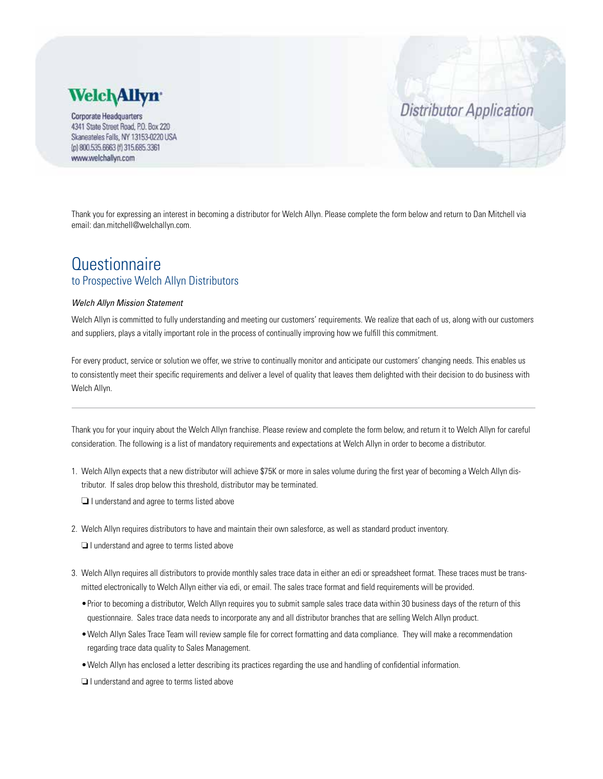## **Welch Allyn**

**Corporate Headquarters** 4341 State Street Road, P.O. Box 220 Skaneateles Falls, NY 13153-0220 USA (p) 800.535.6663 (f) 315.685.3361 www.welchallyn.com

Thank you for expressing an interest in becoming a distributor for Welch Allyn. Please complete the form below and return to Dan Mitchell via email: dan.mitchell@welchallyn.com.

**Distributor Application** 

### **Questionnaire** to Prospective Welch Allyn Distributors

#### *Welch Allyn Mission Statement*

Welch Allyn is committed to fully understanding and meeting our customers' requirements. We realize that each of us, along with our customers and suppliers, plays a vitally important role in the process of continually improving how we fulfill this commitment.

For every product, service or solution we offer, we strive to continually monitor and anticipate our customers' changing needs. This enables us to consistently meet their specific requirements and deliver a level of quality that leaves them delighted with their decision to do business with Welch Allyn.

Thank you for your inquiry about the Welch Allyn franchise. Please review and complete the form below, and return it to Welch Allyn for careful consideration. The following is a list of mandatory requirements and expectations at Welch Allyn in order to become a distributor.

1. Welch Allyn expects that a new distributor will achieve \$75K or more in sales volume during the first year of becoming a Welch Allyn distributor. If sales drop below this threshold, distributor may be terminated.

❏ I understand and agree to terms listed above

2. Welch Allyn requires distributors to have and maintain their own salesforce, as well as standard product inventory.

❏ I understand and agree to terms listed above

- 3. Welch Allyn requires all distributors to provide monthly sales trace data in either an edi or spreadsheet format. These traces must be transmitted electronically to Welch Allyn either via edi, or email. The sales trace format and field requirements will be provided.
	- •Prior to becoming a distributor, Welch Allyn requires you to submit sample sales trace data within 30 business days of the return of this questionnaire. Sales trace data needs to incorporate any and all distributor branches that are selling Welch Allyn product.
	- •Welch Allyn Sales Trace Team will review sample file for correct formatting and data compliance. They will make a recommendation regarding trace data quality to Sales Management.
	- •Welch Allyn has enclosed a letter describing its practices regarding the use and handling of confidential information.

❏ I understand and agree to terms listed above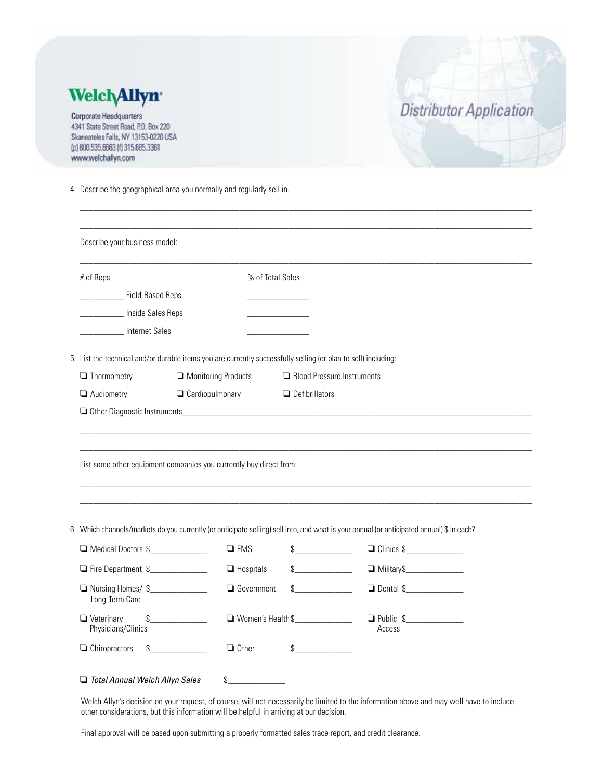| <b>Welch Allyn</b><br><b>Corporate Headquarters</b><br>4341 State Street Road, P.O. Box 220<br>Skaneateles Falls, NY 13153-0220 USA<br>(p) 800.535.6663 (f) 315.685.3361<br>www.welchallyn.com |                                                                                                                                                          |                                                     | <b>Distributor Application</b>                                                                                                            |
|------------------------------------------------------------------------------------------------------------------------------------------------------------------------------------------------|----------------------------------------------------------------------------------------------------------------------------------------------------------|-----------------------------------------------------|-------------------------------------------------------------------------------------------------------------------------------------------|
|                                                                                                                                                                                                | 4. Describe the geographical area you normally and regularly sell in.                                                                                    |                                                     |                                                                                                                                           |
| Describe your business model:                                                                                                                                                                  |                                                                                                                                                          |                                                     |                                                                                                                                           |
| # of Reps<br>_____ Field-Based Reps<br>Inside Sales Reps<br><b>Internet Sales</b>                                                                                                              |                                                                                                                                                          | % of Total Sales                                    |                                                                                                                                           |
|                                                                                                                                                                                                |                                                                                                                                                          |                                                     |                                                                                                                                           |
| $\Box$ Thermometry<br>Audiometry                                                                                                                                                               | 5. List the technical and/or durable items you are currently successfully selling (or plan to sell) including:<br>Monitoring Products<br>Cardiopulmonary | Blood Pressure Instruments<br>$\Box$ Defibrillators |                                                                                                                                           |
|                                                                                                                                                                                                | List some other equipment companies you currently buy direct from:                                                                                       |                                                     |                                                                                                                                           |
|                                                                                                                                                                                                |                                                                                                                                                          |                                                     | 6. Which channels/markets do you currently (or anticipate selling) sell into, and what is your annual (or anticipated annual) \$ in each? |
| Medical Doctors \$                                                                                                                                                                             | $\Box$ EMS                                                                                                                                               | $\frac{1}{2}$                                       | $\Box$ Clinics \$                                                                                                                         |
| Fire Department \$                                                                                                                                                                             | $\Box$ Hospitals                                                                                                                                         | $\mathcal{S}$                                       |                                                                                                                                           |
| Nursing Homes/\$<br>Long-Term Care                                                                                                                                                             | Government                                                                                                                                               | $\sim$                                              | □ Dental \$                                                                                                                               |
| $\Box$ Veterinary<br>\$<br>Physicians/Clinics                                                                                                                                                  |                                                                                                                                                          | Women's Health \$                                   | $\Box$ Public \$<br>Access                                                                                                                |

Welch Allyn's decision on your request, of course, will not necessarily be limited to the information above and may well have to include other considerations, but this information will be helpful in arriving at our decision.

Final approval will be based upon submitting a properly formatted sales trace report, and credit clearance.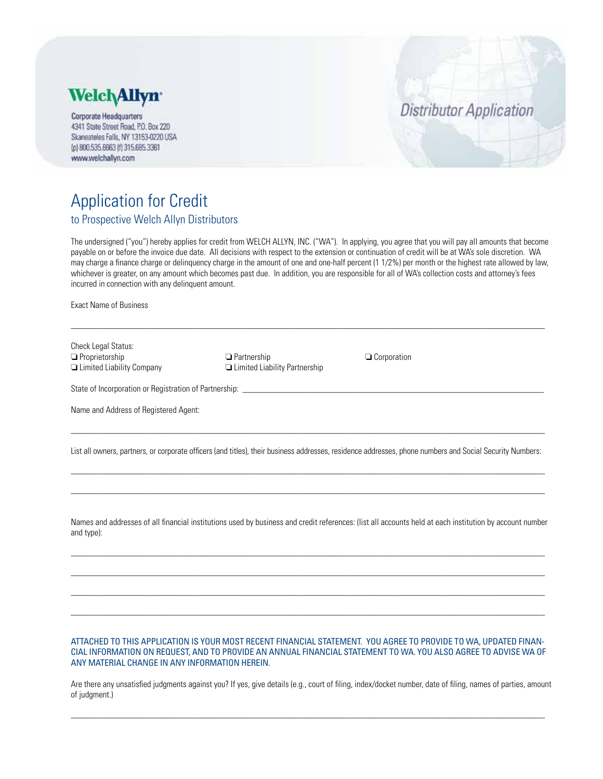

**Corporate Headquarters** 4341 State Street Road, P.O. Box 220 Skaneateles Falls, NY 13153-0220 USA (p) 800.535.6663 (f) 315.685.3361 www.welchallyn.com

# **Distributor Application**

## Application for Credit to Prospective Welch Allyn Distributors

The undersigned ("you") hereby applies for credit from WELCH ALLYN, INC. ("WA"). In applying, you agree that you will pay all amounts that become payable on or before the invoice due date. All decisions with respect to the extension or continuation of credit will be at WA's sole discretion. WA may charge a finance charge or delinquency charge in the amount of one and one-half percent (1 1/2%) per month or the highest rate allowed by law, whichever is greater, on any amount which becomes past due. In addition, you are responsible for all of WA's collection costs and attorney's fees incurred in connection with any delinquent amount.

 $\_$  ,  $\_$  ,  $\_$  ,  $\_$  ,  $\_$  ,  $\_$  ,  $\_$  ,  $\_$  ,  $\_$  ,  $\_$  ,  $\_$  ,  $\_$  ,  $\_$  ,  $\_$  ,  $\_$  ,  $\_$  ,  $\_$  ,  $\_$  ,  $\_$  ,  $\_$  ,  $\_$  ,  $\_$  ,  $\_$  ,  $\_$  ,  $\_$  ,  $\_$  ,  $\_$  ,  $\_$  ,  $\_$  ,  $\_$  ,  $\_$  ,  $\_$  ,  $\_$  ,  $\_$  ,  $\_$  ,  $\_$  ,  $\_$  ,

Exact Name of Business

| Check Legal Status:<br>$\Box$ Proprietorship<br>□ Limited Liability Company | $\Box$ Partnership<br>$\Box$ Limited Liability Partnership | $\Box$ Corporation                                                                                                                                       |  |  |  |
|-----------------------------------------------------------------------------|------------------------------------------------------------|----------------------------------------------------------------------------------------------------------------------------------------------------------|--|--|--|
| State of Incorporation or Registration of Partnership:                      |                                                            |                                                                                                                                                          |  |  |  |
| Name and Address of Registered Agent:                                       |                                                            |                                                                                                                                                          |  |  |  |
|                                                                             |                                                            | List all owners, partners, or corporate officers (and titles), their business addresses, residence addresses, phone numbers and Social Security Numbers: |  |  |  |
|                                                                             |                                                            |                                                                                                                                                          |  |  |  |

Names and addresses of all financial institutions used by business and credit references: (list all accounts held at each institution by account number and type):

\_\_\_\_\_\_\_\_\_\_\_\_\_\_\_\_\_\_\_\_\_\_\_\_\_\_\_\_\_\_\_\_\_\_\_\_\_\_\_\_\_\_\_\_\_\_\_\_\_\_\_\_\_\_\_\_\_\_\_\_\_\_\_\_\_\_\_\_\_\_\_\_\_\_\_\_\_\_\_\_\_\_\_\_\_\_\_\_\_\_\_\_\_\_\_\_\_\_\_\_\_\_\_\_\_\_\_  $\_$  ,  $\_$  ,  $\_$  ,  $\_$  ,  $\_$  ,  $\_$  ,  $\_$  ,  $\_$  ,  $\_$  ,  $\_$  ,  $\_$  ,  $\_$  ,  $\_$  ,  $\_$  ,  $\_$  ,  $\_$  ,  $\_$  ,  $\_$  ,  $\_$  ,  $\_$  ,  $\_$  ,  $\_$  ,  $\_$  ,  $\_$  ,  $\_$  ,  $\_$  ,  $\_$  ,  $\_$  ,  $\_$  ,  $\_$  ,  $\_$  ,  $\_$  ,  $\_$  ,  $\_$  ,  $\_$  ,  $\_$  ,  $\_$  , \_\_\_\_\_\_\_\_\_\_\_\_\_\_\_\_\_\_\_\_\_\_\_\_\_\_\_\_\_\_\_\_\_\_\_\_\_\_\_\_\_\_\_\_\_\_\_\_\_\_\_\_\_\_\_\_\_\_\_\_\_\_\_\_\_\_\_\_\_\_\_\_\_\_\_\_\_\_\_\_\_\_\_\_\_\_\_\_\_\_\_\_\_\_\_\_\_\_\_\_\_\_\_\_\_\_\_ \_\_\_\_\_\_\_\_\_\_\_\_\_\_\_\_\_\_\_\_\_\_\_\_\_\_\_\_\_\_\_\_\_\_\_\_\_\_\_\_\_\_\_\_\_\_\_\_\_\_\_\_\_\_\_\_\_\_\_\_\_\_\_\_\_\_\_\_\_\_\_\_\_\_\_\_\_\_\_\_\_\_\_\_\_\_\_\_\_\_\_\_\_\_\_\_\_\_\_\_\_\_\_\_\_\_\_

### ATTACHED TO THIS APPLICATION IS YOUR MOST RECENT FINANCIAL STATEMENT. YOU AGREE TO PROVIDE TO WA, UPDATED FINAN-CIAL INFORMATION ON REQUEST, AND TO PROVIDE AN ANNUAL FINANCIAL STATEMENT TO WA. YOU ALSO AGREE TO ADVISE WA OF ANY MATERIAL CHANGE IN ANY INFORMATION HEREIN.

Are there any unsatisfied judgments against you? If yes, give details (e.g., court of filing, index/docket number, date of filing, names of parties, amount of judgment.)

 $\_$  ,  $\_$  ,  $\_$  ,  $\_$  ,  $\_$  ,  $\_$  ,  $\_$  ,  $\_$  ,  $\_$  ,  $\_$  ,  $\_$  ,  $\_$  ,  $\_$  ,  $\_$  ,  $\_$  ,  $\_$  ,  $\_$  ,  $\_$  ,  $\_$  ,  $\_$  ,  $\_$  ,  $\_$  ,  $\_$  ,  $\_$  ,  $\_$  ,  $\_$  ,  $\_$  ,  $\_$  ,  $\_$  ,  $\_$  ,  $\_$  ,  $\_$  ,  $\_$  ,  $\_$  ,  $\_$  ,  $\_$  ,  $\_$  ,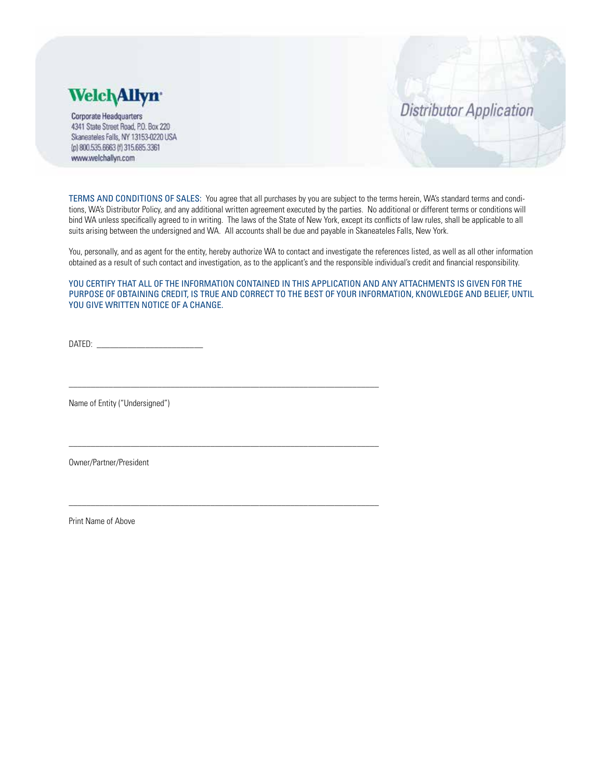

**Corporate Headquarters** 4341 State Street Road, P.O. Box 220 Skaneateles Falls, NY 13153-0220 USA (p) 800.535.6663 (f) 315.685.3361 www.welchallyn.com

## **Distributor Application**

TERMS AND CONDITIONS OF SALES: You agree that all purchases by you are subject to the terms herein, WA's standard terms and conditions, WA's Distributor Policy, and any additional written agreement executed by the parties. No additional or different terms or conditions will bind WA unless specifically agreed to in writing. The laws of the State of New York, except its conflicts of law rules, shall be applicable to all suits arising between the undersigned and WA. All accounts shall be due and payable in Skaneateles Falls, New York.

You, personally, and as agent for the entity, hereby authorize WA to contact and investigate the references listed, as well as all other information obtained as a result of such contact and investigation, as to the applicant's and the responsible individual's credit and financial responsibility.

YOU CERTIFY THAT ALL OF THE INFORMATION CONTAINED IN THIS APPLICATION AND ANY ATTACHMENTS IS GIVEN FOR THE PURPOSE OF OBTAINING CREDIT, IS TRUE AND CORRECT TO THE BEST OF YOUR INFORMATION, KNOWLEDGE AND BELIEF, UNTIL YOU GIVE WRITTEN NOTICE OF A CHANGE.

 $DATAED:$ 

\_\_\_\_\_\_\_\_\_\_\_\_\_\_\_\_\_\_\_\_\_\_\_\_\_\_\_\_\_\_\_\_\_\_\_\_\_\_\_\_\_\_\_\_\_\_\_\_\_\_\_\_\_\_\_\_\_\_\_\_\_\_\_\_\_\_\_\_\_\_

\_\_\_\_\_\_\_\_\_\_\_\_\_\_\_\_\_\_\_\_\_\_\_\_\_\_\_\_\_\_\_\_\_\_\_\_\_\_\_\_\_\_\_\_\_\_\_\_\_\_\_\_\_\_\_\_\_\_\_\_\_\_\_\_\_\_\_\_\_\_

\_\_\_\_\_\_\_\_\_\_\_\_\_\_\_\_\_\_\_\_\_\_\_\_\_\_\_\_\_\_\_\_\_\_\_\_\_\_\_\_\_\_\_\_\_\_\_\_\_\_\_\_\_\_\_\_\_\_\_\_\_\_\_\_\_\_\_\_\_\_

Name of Entity ("Undersigned")

Owner/Partner/President

Print Name of Above